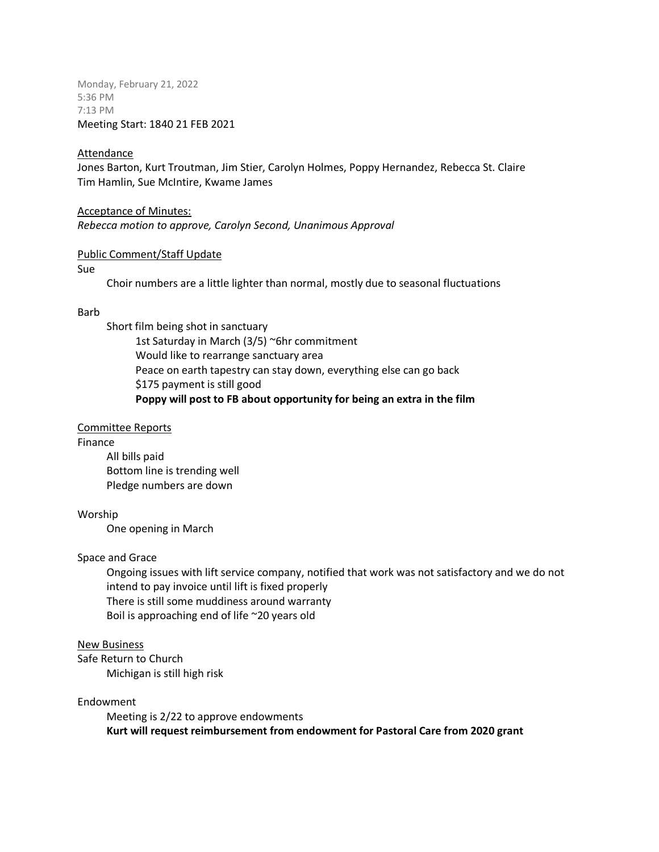Monday, February 21, 2022 5:36 PM 7:13 PM Meeting Start: 1840 21 FEB 2021

## **Attendance**

Jones Barton, Kurt Troutman, Jim Stier, Carolyn Holmes, Poppy Hernandez, Rebecca St. Claire Tim Hamlin, Sue McIntire, Kwame James

Acceptance of Minutes: *Rebecca motion to approve, Carolyn Second, Unanimous Approval*

#### Public Comment/Staff Update

#### Sue

Choir numbers are a little lighter than normal, mostly due to seasonal fluctuations

#### Barb

Short film being shot in sanctuary 1st Saturday in March (3/5) ~6hr commitment Would like to rearrange sanctuary area Peace on earth tapestry can stay down, everything else can go back \$175 payment is still good **Poppy will post to FB about opportunity for being an extra in the film**

## Committee Reports

## Finance

All bills paid Bottom line is trending well Pledge numbers are down

## Worship

One opening in March

## Space and Grace

Ongoing issues with lift service company, notified that work was not satisfactory and we do not intend to pay invoice until lift is fixed properly There is still some muddiness around warranty Boil is approaching end of life ~20 years old

## New Business

Safe Return to Church Michigan is still high risk

## Endowment

Meeting is 2/22 to approve endowments **Kurt will request reimbursement from endowment for Pastoral Care from 2020 grant**